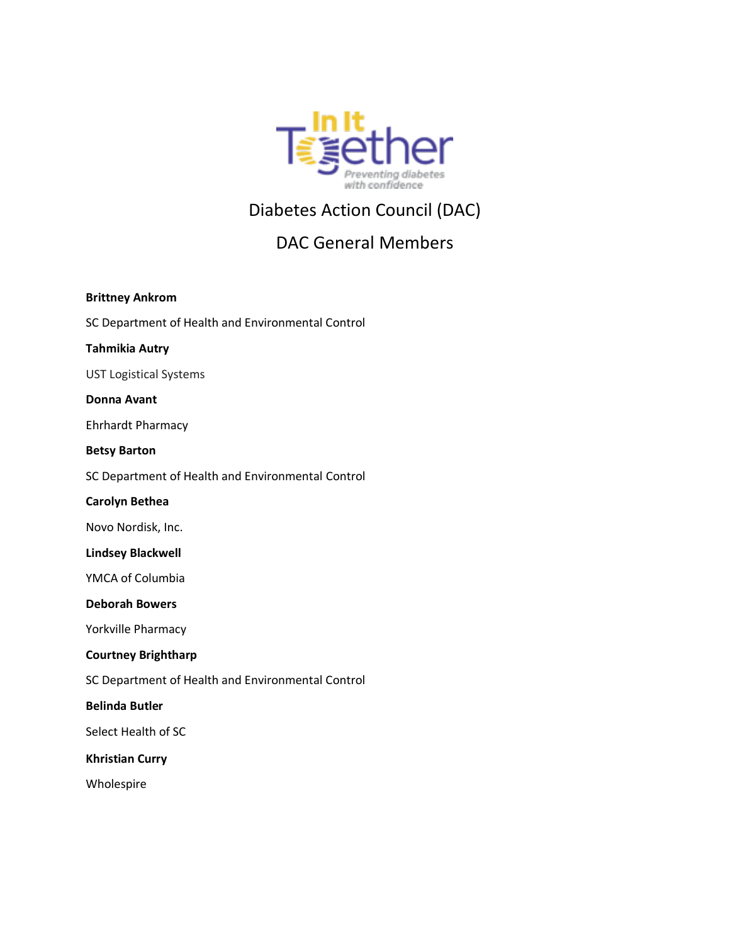

# Diabetes Action Council (DAC)

# DAC General Members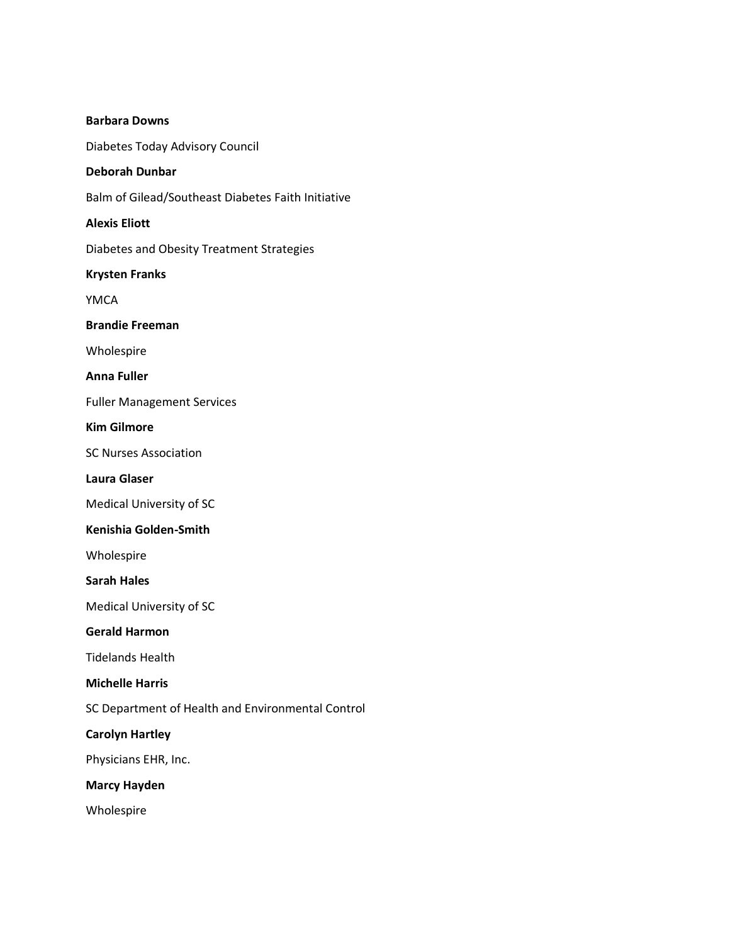| <b>Barbara Downs</b>                               |
|----------------------------------------------------|
| Diabetes Today Advisory Council                    |
| <b>Deborah Dunbar</b>                              |
| Balm of Gilead/Southeast Diabetes Faith Initiative |
| <b>Alexis Eliott</b>                               |
| Diabetes and Obesity Treatment Strategies          |
| <b>Krysten Franks</b>                              |
| YMCA                                               |
| <b>Brandie Freeman</b>                             |
| Wholespire                                         |
| Anna Fuller                                        |
| <b>Fuller Management Services</b>                  |
| <b>Kim Gilmore</b>                                 |
| <b>SC Nurses Association</b>                       |
| Laura Glaser                                       |
| Medical University of SC                           |
| Kenishia Golden-Smith                              |
| Wholespire                                         |
| <b>Sarah Hales</b>                                 |
| <b>Medical University of SC</b>                    |
| <b>Gerald Harmon</b>                               |
| Tidelands Health                                   |
| <b>Michelle Harris</b>                             |
| SC Department of Health and Environmental Control  |
| <b>Carolyn Hartley</b>                             |
| Physicians EHR, Inc.                               |
| <b>Marcy Hayden</b>                                |
| Wholespire                                         |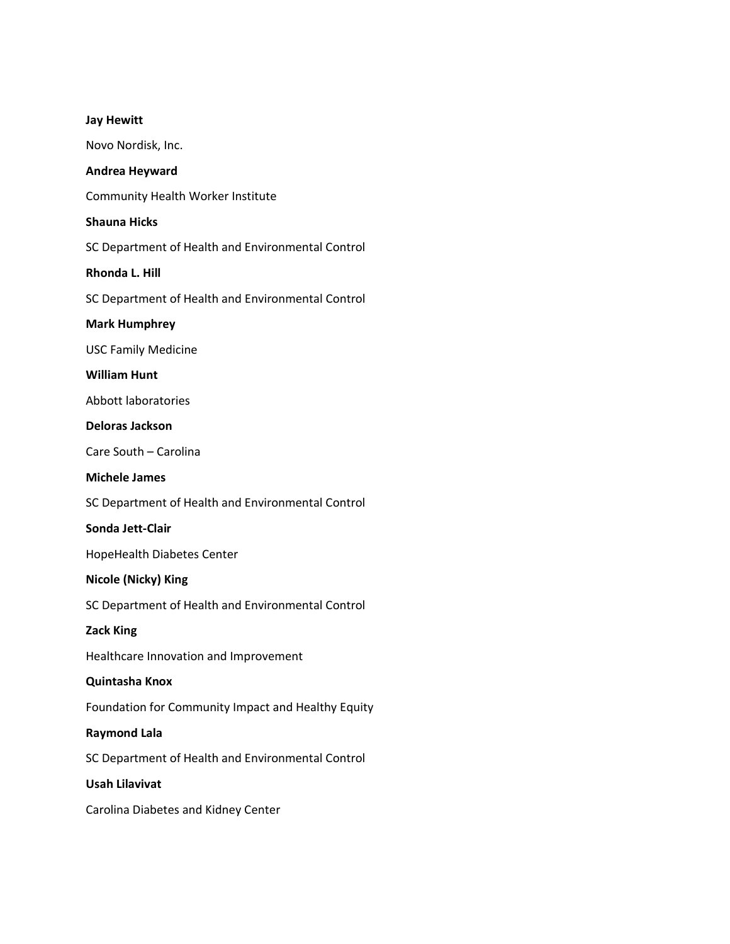|  | <b>Jay Hewitt</b> |
|--|-------------------|
|  |                   |

Novo Nordisk, Inc.

# **Andrea Heyward**

Community Health Worker Institute

# **Shauna Hicks**

SC Department of Health and Environmental Control

## **Rhonda L. Hill**

SC Department of Health and Environmental Control

## **Mark Humphrey**

USC Family Medicine

## **William Hunt**

Abbott laboratories

# **Deloras Jackson**

Care South – Carolina

### **Michele James**

SC Department of Health and Environmental Control

#### **Sonda Jett-Clair**

HopeHealth Diabetes Center

## **Nicole (Nicky) King**

SC Department of Health and Environmental Control

#### **Zack King**

Healthcare Innovation and Improvement

# **Quintasha Knox**

Foundation for Community Impact and Healthy Equity

# **Raymond Lala**

SC Department of Health and Environmental Control

#### **Usah Lilavivat**

Carolina Diabetes and Kidney Center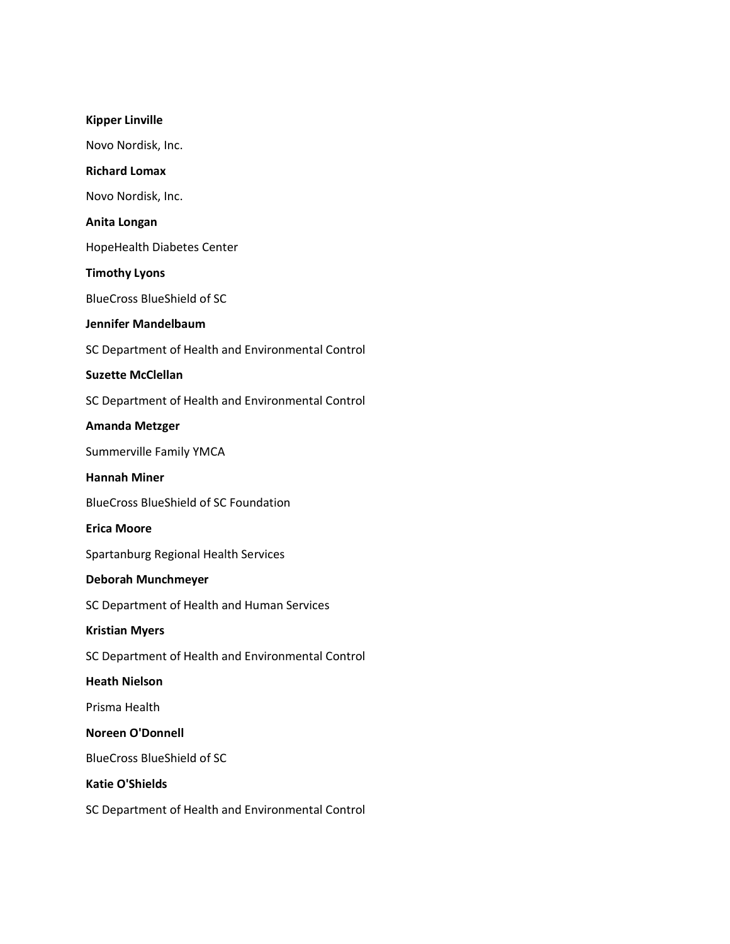| <b>Kipper Linville</b>                            |
|---------------------------------------------------|
| Novo Nordisk, Inc.                                |
| <b>Richard Lomax</b>                              |
| Novo Nordisk, Inc.                                |
| Anita Longan                                      |
| <b>HopeHealth Diabetes Center</b>                 |
| <b>Timothy Lyons</b>                              |
| <b>BlueCross BlueShield of SC</b>                 |
| <b>Jennifer Mandelbaum</b>                        |
| SC Department of Health and Environmental Control |
| <b>Suzette McClellan</b>                          |
| SC Department of Health and Environmental Control |
| <b>Amanda Metzger</b>                             |
| <b>Summerville Family YMCA</b>                    |
| <b>Hannah Miner</b>                               |
| <b>BlueCross BlueShield of SC Foundation</b>      |
| <b>Erica Moore</b>                                |
| Spartanburg Regional Health Services              |
| <b>Deborah Munchmeyer</b>                         |
| SC Department of Health and Human Services        |
| <b>Kristian Myers</b>                             |
| SC Department of Health and Environmental Control |
| <b>Heath Nielson</b>                              |
| Prisma Health                                     |
| <b>Noreen O'Donnell</b>                           |
| <b>BlueCross BlueShield of SC</b>                 |
| <b>Katie O'Shields</b>                            |
| SC Department of Health and Environmental Control |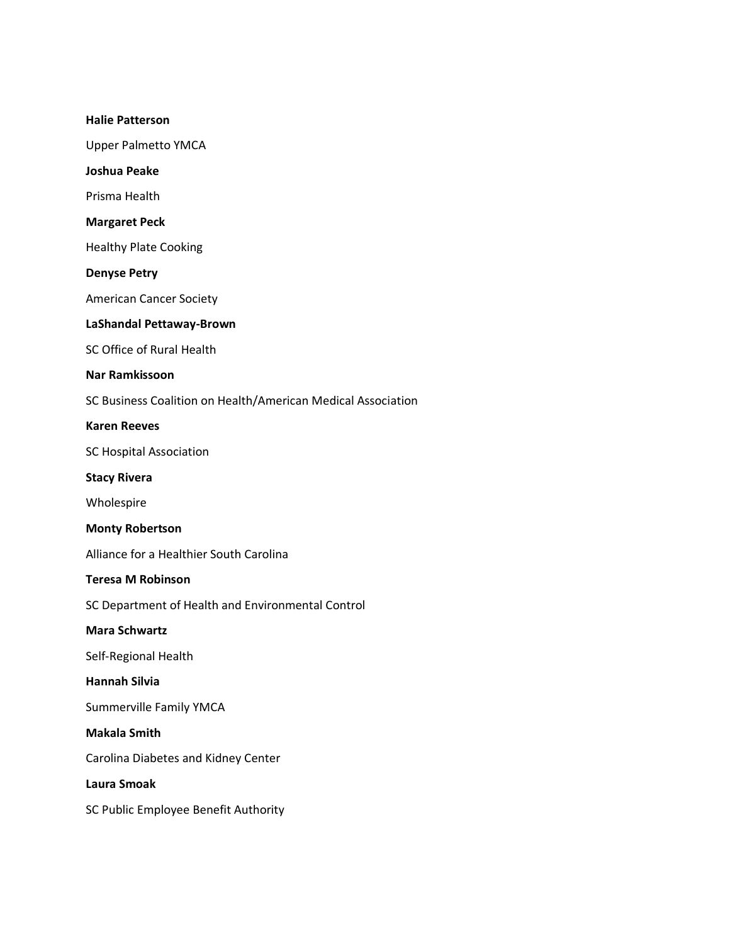#### **Halie Patterson**

Upper Palmetto YMCA

**Joshua Peake**

Prisma Health

## **Margaret Peck**

Healthy Plate Cooking

**Denyse Petry**

American Cancer Society

## **LaShandal Pettaway-Brown**

SC Office of Rural Health

## **Nar Ramkissoon**

SC Business Coalition on Health/American Medical Association

# **Karen Reeves**

SC Hospital Association

## **Stacy Rivera**

Wholespire

#### **Monty Robertson**

Alliance for a Healthier South Carolina

# **Teresa M Robinson**

SC Department of Health and Environmental Control

## **Mara Schwartz**

Self-Regional Health

# **Hannah Silvia**

Summerville Family YMCA

#### **Makala Smith**

Carolina Diabetes and Kidney Center

#### **Laura Smoak**

SC Public Employee Benefit Authority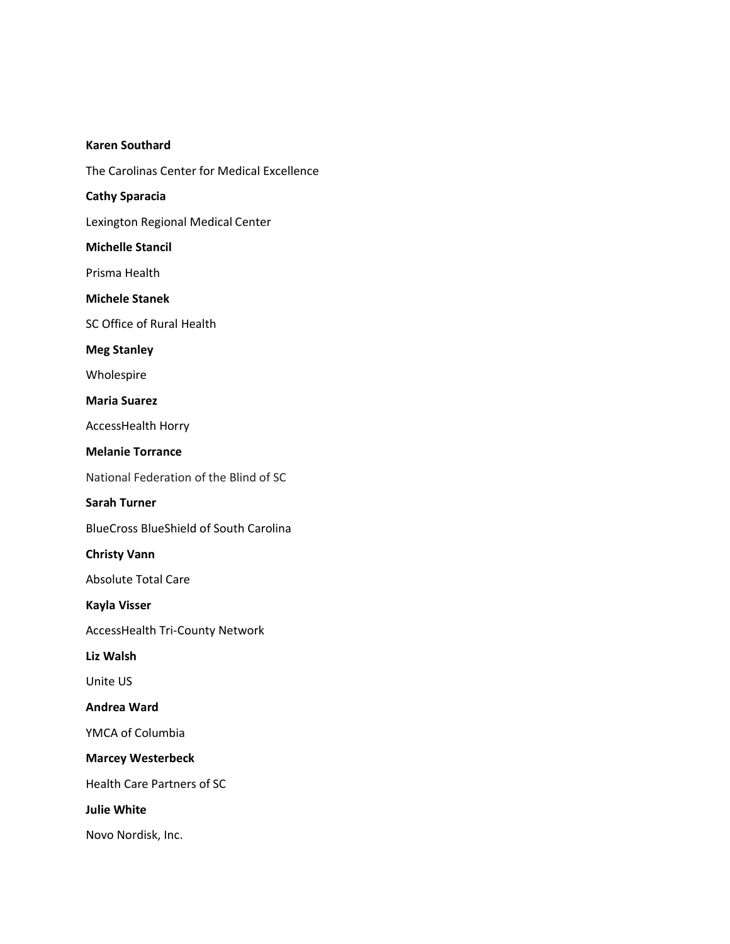#### **Karen Southard**

The Carolinas Center for Medical Excellence

# **Cathy Sparacia**

Lexington Regional Medical Center

#### **Michelle Stancil**

Prisma Health

#### **Michele Stanek**

SC Office of Rural Health

## **Meg Stanley**

Wholespire

## **Maria Suarez**

AccessHealth Horry

# **Melanie Torrance**

National Federation of the Blind of SC

### **Sarah Turner**

BlueCross BlueShield of South Carolina

## **Christy Vann**

Absolute Total Care

## **Kayla Visser**

AccessHealth Tri-County Network

# **Liz Walsh**

Unite US

# **Andrea Ward**

YMCA of Columbia

#### **Marcey Westerbeck**

Health Care Partners of SC

**Julie White**

Novo Nordisk, Inc.